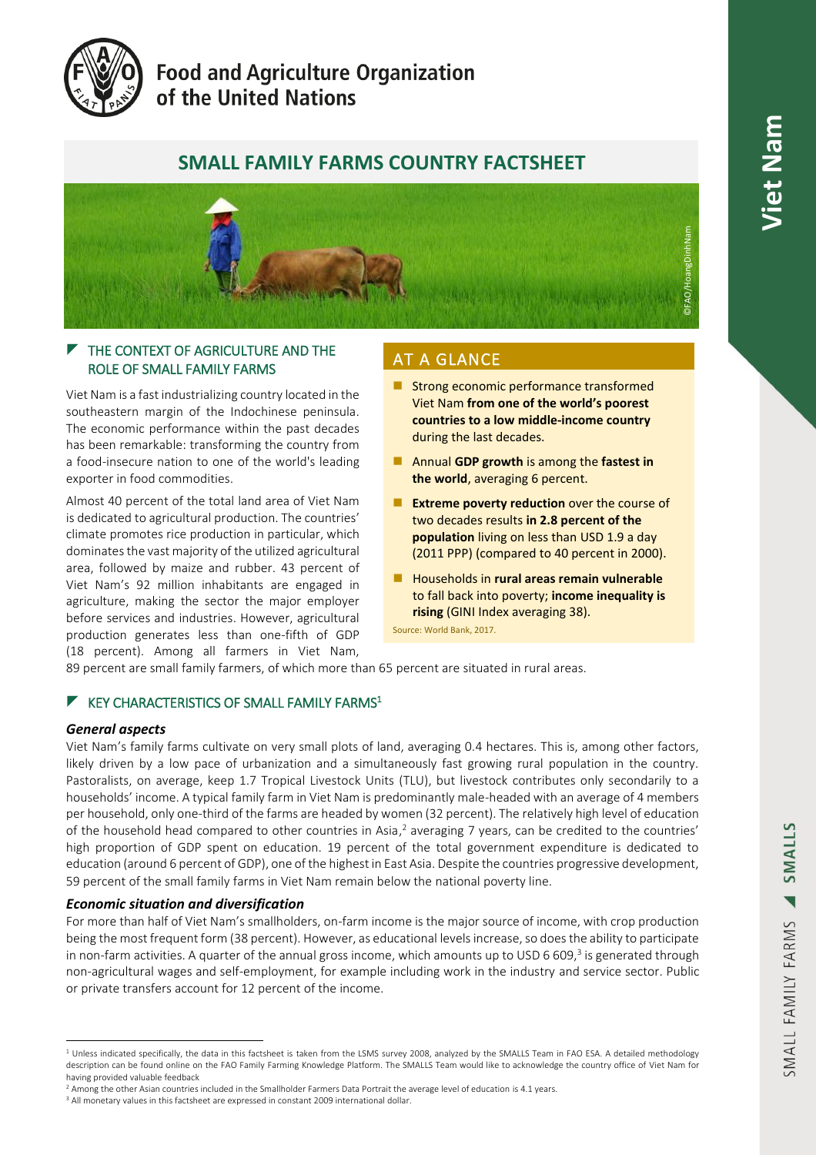©FAO/HoangDinhNam



## **Food and Agriculture Organization** of the United Nations

# **SMALL FAMILY FARMS COUNTRY FACTSHEET**

#### $\blacktriangleright$  THE CONTEXT OF AGRICULTURE AND THE ROLE OF SMALL FAMILY FARMS

Viet Nam is a fast industrializing country located in the southeastern margin of the Indochinese peninsula. The economic performance within the past decades has been remarkable: transforming the country from a food-insecure nation to one of the world's leading exporter in food commodities.

Almost 40 percent of the total land area of Viet Nam is dedicated to agricultural production. The countries' climate promotes rice production in particular, which dominates the vast majority of the utilized agricultural area, followed by maize and rubber. 43 percent of Viet Nam's 92 million inhabitants are engaged in agriculture, making the sector the major employer before services and industries. However, agricultural production generates less than one-fifth of GDP (18 percent). Among all farmers in Viet Nam,

### AT A GLANCE

- **Strong economic performance transformed** Viet Nam **from one of the world's poorest countries to a low middle-income country** during the last decades.
- Annual **GDP growth** is among the **fastest in the world**, averaging 6 percent.
- **Extreme poverty reduction** over the course of two decades results **in 2.8 percent of the population** living on less than USD 1.9 a day (2011 PPP) (compared to 40 percent in 2000).
- **Households in rural areas remain vulnerable** to fall back into poverty; **income inequality is rising** (GINI Index averaging 38).

Source: World Bank, 2017.

89 percent are small family farmers, of which more than 65 percent are situated in rural areas.

#### $\blacktriangleright$  KEY CHARACTERISTICS OF SMALL FAMILY FARMS<sup>1</sup>

#### *General aspects*

Viet Nam's family farms cultivate on very small plots of land, averaging 0.4 hectares. This is, among other factors, likely driven by a low pace of urbanization and a simultaneously fast growing rural population in the country. Pastoralists, on average, keep 1.7 Tropical Livestock Units (TLU), but livestock contributes only secondarily to a households' income. A typical family farm in Viet Nam is predominantly male-headed with an average of 4 members per household, only one-third of the farms are headed by women (32 percent). The relatively high level of education of the household head compared to other countries in Asia,<sup>2</sup> averaging 7 years, can be credited to the countries' high proportion of GDP spent on education. 19 percent of the total government expenditure is dedicated to education (around 6 percent of GDP), one of the highest in East Asia. Despite the countries progressive development, 59 percent of the small family farms in Viet Nam remain below the national poverty line.

#### *Economic situation and diversification*

For more than half of Viet Nam's smallholders, on-farm income is the major source of income, with crop production being the most frequent form (38 percent). However, as educational levels increase, so does the ability to participate in non-farm activities. A quarter of the annual gross income, which amounts up to USD 6 609,<sup>3</sup> is generated through non-agricultural wages and self-employment, for example including work in the industry and service sector. Public or private transfers account for 12 percent of the income.

<sup>2</sup> Among the other Asian countries included in the Smallholder Farmers Data Portrait the average level of education is 4.1 years.

<sup>&</sup>lt;sup>1</sup> Unless indicated specifically, the data in this factsheet is taken from the LSMS survey 2008, analyzed by the SMALLS Team in FAO ESA. A detailed methodology description can be found online on the FAO Family Farming Knowledge Platform. The SMALLS Team would like to acknowledge the country office of Viet Nam for having provided valuable feedback

<sup>&</sup>lt;sup>3</sup> All monetary values in this factsheet are expressed in constant 2009 international dollar.